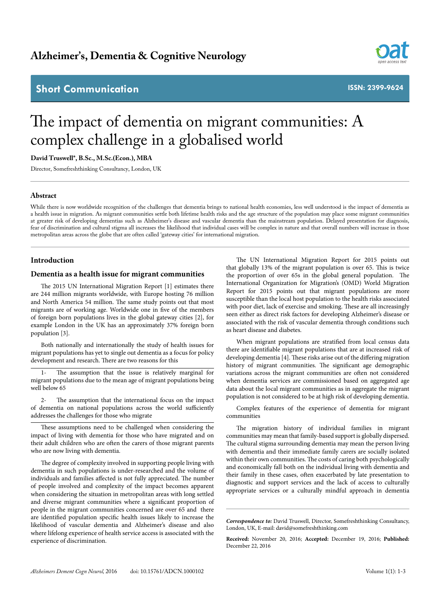# **Short Communication**



**ISSN: 2399-9624**

# The impact of dementia on migrant communities: A complex challenge in a globalised world

# **David Truswell\*, B.Sc., M.Sc.(Econ.), MBA**

Director, Somefreshthinking Consultancy, London, UK

#### **Abstract**

While there is now worldwide recognition of the challenges that dementia brings to national health economies, less well understood is the impact of dementia as a health issue in migration. As migrant communities settle both lifetime health risks and the age structure of the population may place some migrant communities at greater risk of developing dementias such as Alzheimer's disease and vascular dementia than the mainstream population. Delayed presentation for diagnosis, fear of discrimination and cultural stigma all increases the likelihood that individual cases will be complex in nature and that overall numbers will increase in those metropolitan areas across the globe that are often called 'gateway cities' for international migration.

# **Introduction**

#### **Dementia as a health issue for migrant communities**

The 2015 UN International Migration Report [1] estimates there are 244 million migrants worldwide, with Europe hosting 76 million and North America 54 million. The same study points out that most migrants are of working age. Worldwide one in five of the members of foreign born populations lives in the global gateway cities [2], for example London in the UK has an approximately 37% foreign born population [3].

Both nationally and internationally the study of health issues for migrant populations has yet to single out dementia as a focus for policy development and research. There are two reasons for this

The assumption that the issue is relatively marginal for migrant populations due to the mean age of migrant populations being well below 65

2- The assumption that the international focus on the impact of dementia on national populations across the world sufficiently addresses the challenges for those who migrate

These assumptions need to be challenged when considering the impact of living with dementia for those who have migrated and on their adult children who are often the carers of those migrant parents who are now living with dementia.

The degree of complexity involved in supporting people living with dementia in such populations is under-researched and the volume of individuals and families affected is not fully appreciated. The number of people involved and complexity of the impact becomes apparent when considering the situation in metropolitan areas with long settled and diverse migrant communities where a significant proportion of people in the migrant communities concerned are over 65 and there are identified population specific health issues likely to increase the likelihood of vascular dementia and Alzheimer's disease and also where lifelong experience of health service access is associated with the experience of discrimination.

The UN International Migration Report for 2015 points out that globally 13% of the migrant population is over 65. This is twice the proportion of over 65s in the global general population. The International Organization for Migration's (OMD) World Migration Report for 2015 points out that migrant populations are more susceptible than the local host population to the health risks associated with poor diet, lack of exercise and smoking. These are all increasingly seen either as direct risk factors for developing Alzheimer's disease or associated with the risk of vascular dementia through conditions such as heart disease and diabetes.

When migrant populations are stratified from local census data there are identifiable migrant populations that are at increased risk of developing dementia [4]. These risks arise out of the differing migration history of migrant communities. The significant age demographic variations across the migrant communities are often not considered when dementia services are commissioned based on aggregated age data about the local migrant communities as in aggregate the migrant population is not considered to be at high risk of developing dementia.

Complex features of the experience of dementia for migrant communities

The migration history of individual families in migrant communities may mean that family-based support is globally dispersed. The cultural stigma surrounding dementia may mean the person living with dementia and their immediate family carers are socially isolated within their own communities. The costs of caring both psychologically and economically fall both on the individual living with dementia and their family in these cases, often exacerbated by late presentation to diagnostic and support services and the lack of access to culturally appropriate services or a culturally mindful approach in dementia

*Correspondence to:* David Truswell, Director, Somefreshthinking Consultancy, London, UK, E-mail: david@somefreshthinking.com

**Received:** November 20, 2016; **Accepted:** December 19, 2016; **Published:**  December 22, 2016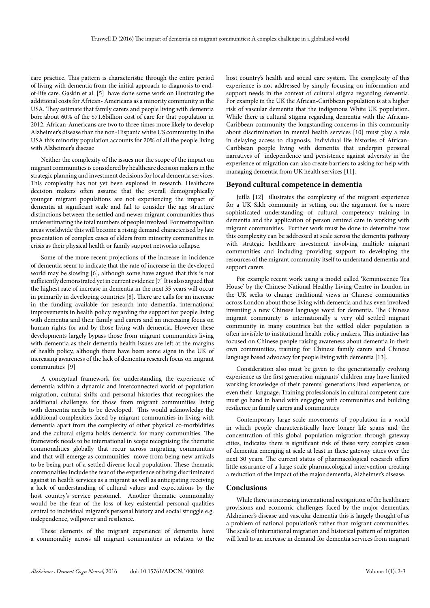care practice. This pattern is characteristic through the entire period of living with dementia from the initial approach to diagnosis to endof-life care. Gaskin et al. [5] have done some work on illustrating the additional costs for African- Americans as a minority community in the USA. They estimate that family carers and people living with dementia bore about 60% of the \$71.6billion cost of care for that population in 2012. African-Americans are two to three times more likely to develop Alzheimer's disease than the non-Hispanic white US community. In the USA this minority population accounts for 20% of all the people living with Alzheimer's disease

Neither the complexity of the issues nor the scope of the impact on migrant communities is considered by healthcare decision makers in the strategic planning and investment decisions for local dementia services. This complexity has not yet been explored in research. Healthcare decision makers often assume that the overall demographically younger migrant populations are not experiencing the impact of dementia at significant scale and fail to consider the age structure distinctions between the settled and newer migrant communities thus underestimating the total numbers of people involved. For metropolitan areas worldwide this will become a rising demand characterised by late presentation of complex cases of elders from minority communities in crisis as their physical health or family support networks collapse.

Some of the more recent projections of the increase in incidence of dementia seem to indicate that the rate of increase in the developed world may be slowing [6], although some have argued that this is not sufficiently demonstrated yet in current evidence [7] It is also argued that the highest rate of increase in dementia in the next 35 years will occur in primarily in developing countries [8]. There are calls for an increase in the funding available for research into dementia, international improvements in health policy regarding the support for people living with dementia and their family and carers and an increasing focus on human rights for and by those living with dementia. However these developments largely bypass those from migrant communities living with dementia as their dementia health issues are left at the margins of health policy, although there have been some signs in the UK of increasing awareness of the lack of dementia research focus on migrant communities [9]

A conceptual framework for understanding the experience of dementia within a dynamic and interconnected world of population migration, cultural shifts and personal histories that recognises the additional challenges for those from migrant communities living with dementia needs to be developed. This would acknowledge the additional complexities faced by migrant communities in living with dementia apart from the complexity of other physical co-morbidities and the cultural stigma holds dementia for many communities. The framework needs to be international in scope recognising the thematic commonalities globally that recur across migrating communities and that will emerge as communities move from being new arrivals to be being part of a settled diverse local population. These thematic commonalties include the fear of the experience of being discriminated against in health services as a migrant as well as anticipating receiving a lack of understanding of cultural values and expectations by the host country's service personnel. Another thematic commonality would be the fear of the loss of key existential personal qualities central to individual migrant's personal history and social struggle e.g. independence, willpower and resilience.

These elements of the migrant experience of dementia have a commonality across all migrant communities in relation to the host country's health and social care system. The complexity of this experience is not addressed by simply focusing on information and support needs in the context of cultural stigma regarding dementia. For example in the UK the African-Caribbean population is at a higher risk of vascular dementia that the indigenous White UK population. While there is cultural stigma regarding dementia with the African-Caribbean community the longstanding concerns in this community about discrimination in mental health services [10] must play a role in delaying access to diagnosis. Individual life histories of African-Caribbean people living with dementia that underpin personal narratives of independence and persistence against adversity in the experience of migration can also create barriers to asking for help with managing dementia from UK health services [11].

# **Beyond cultural competence in dementia**

Jutlla [12] illustrates the complexity of the migrant experience for a UK Sikh community in setting out the argument for a more sophisticated understanding of cultural competency training in dementia and the application of person centred care in working with migrant communities. Further work must be done to determine how this complexity can be addressed at scale across the dementia pathway with strategic healthcare investment involving multiple migrant communities and including providing support to developing the resources of the migrant community itself to understand dementia and support carers.

For example recent work using a model called 'Reminiscence Tea House' by the Chinese National Healthy Living Centre in London in the UK seeks to change traditional views in Chinese communities across London about those living with dementia and has even involved inventing a new Chinese language word for dementia. The Chinese migrant community is internationally a very old settled migrant community in many countries but the settled older population is often invisible to institutional health policy makers. This initiative has focused on Chinese people raising awareness about dementia in their own communities, training for Chinese family carers and Chinese language based advocacy for people living with dementia [13].

Consideration also must be given to the generationally evolving experience as the first generation migrants' children may have limited working knowledge of their parents' generations lived experience, or even their language. Training professionals in cultural competent care must go hand in hand with engaging with communities and building resilience in family carers and communities

Contemporary large scale movements of population in a world in which people characteristically have longer life spans and the concentration of this global population migration through gateway cities, indicates there is significant risk of these very complex cases of dementia emerging at scale at least in these gateway cities over the next 30 years. The current status of pharmacological research offers little assurance of a large scale pharmacological intervention creating a reduction of the impact of the major dementia, Alzheimer's disease.

#### **Conclusions**

While there is increasing international recognition of the healthcare provisions and economic challenges faced by the major dementias, Alzheimer's disease and vascular dementia this is largely thought of as a problem of national population's rather than migrant communities. The scale of international migration and historical pattern of migration will lead to an increase in demand for dementia services from migrant